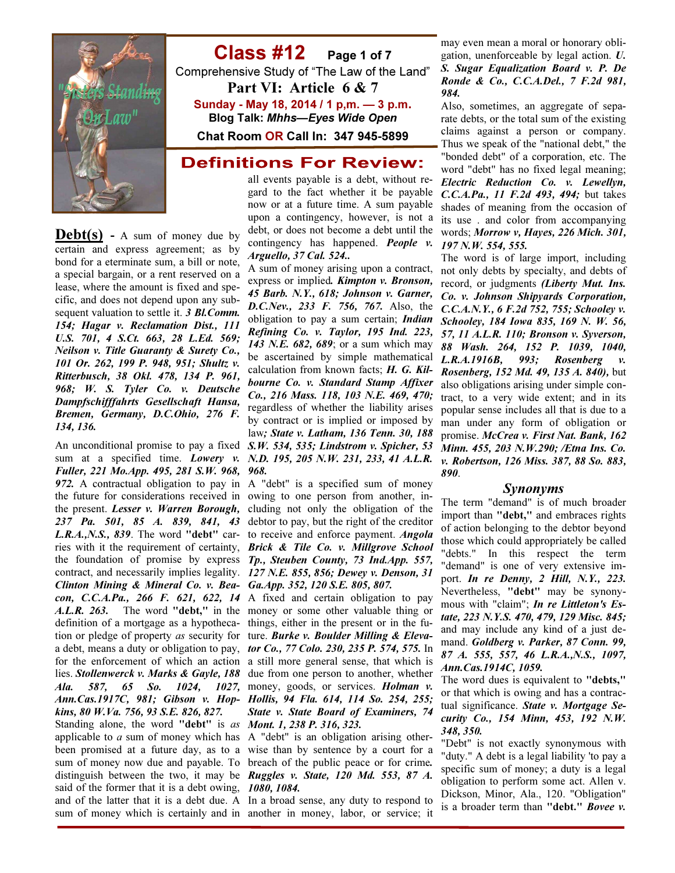

### Class #12 Page 1 of 7 Comprehensive Study of "The Law of the Land" Part VI: Article 6 & 7 Sunday - May 18, 2014 / 1 p,m. — 3 p.m. Blog Talk: Mhhs—Eyes Wide Open Chat Room OR Call In: 347 945-5899

### **Definitions For Review:**

**Debt(s)** - A sum of money due by certain and express agreement; as by bond for a eterminate sum, a bill or note, a special bargain, or a rent reserved on a lease, where the amount is fixed and specific, and does not depend upon any subsequent valuation to settle it. 3 Bl.Comm. 154; Hagar v. Reclamation Dist., 111 U.S. 701, 4 S.Ct. 663, 28 L.Ed. 569; Neilson v. Title Guaranty & Surety Co., 101 Or. 262, 199 P. 948, 951; Shultz v. Ritterbusch, 38 Okl. 478, 134 P. 961, 968; W. S. Tyler Co. v. Deutsche Dampfschifffahrts Gesellschaft Hansa, Bremen, Germany, D.C.Ohio, 276 F. 134, 136.

An unconditional promise to pay a fixed S.W. 534, 535; Lindstrom v. Spicher, 53 sum at a specified time. *Lowery v. N.D. 195, 205 N.W. 231, 233, 41 A.L.R.* Fuller, 221 Mo.App. 495, 281 S.W. 968, 968. 972. A contractual obligation to pay in A "debt" is a specified sum of money the future for considerations received in owing to one person from another, inthe present. Lesser v. Warren Borough, cluding not only the obligation of the 237 Pa. 501, 85 A. 839, 841, 43 debtor to pay, but the right of the creditor L.R.A.,N.S., 839. The word "debt" car- to receive and enforce payment. Angola ries with it the requirement of certainty, Brick & Tile Co. v. Millgrove School the foundation of promise by express Tp., Steuben County, 73 Ind.App. 557, contract, and necessarily implies legality. 127 N.E. 855, 856; Dewey v. Denson, 31 Clinton Mining & Mineral Co. v. Bea-Ga.App. 352, 120 S.E. 805, 807. con, C.C.A.Pa.,  $266$  F.  $621$ ,  $622$ ,  $14$  A fixed and certain obligation to pay A.L.R. 263. The word "debt," in the money or some other valuable thing or definition of a mortgage as a hypotheca-things, either in the present or in the fution or pledge of property as security for ture. Burke v. Boulder Milling & Elevaa debt, means a duty or obligation to pay, *tor Co.*, 77 Colo. 230, 235 P. 574, 575. In for the enforcement of which an action a still more general sense, that which is lies. Stollenwerck v. Marks & Gayle, 188 due from one person to another, whether Ala. 587, 65 So. 1024, 1027, money, goods, or services. Holman v. Ann.Cas.1917C, 981; Gibson v. Hop-Hollis, 94 Fla. 614, 114 So. 254, 255; kins, 80 W.Va. 756, 93 S.E. 826, 827.

Standing alone, the word "debt" is as **Mont. 1, 238 P. 316, 323.** applicable to  $a$  sum of money which has A "debt" is an obligation arising othersaid of the former that it is a debt owing, 1080, 1084. sum of money which is certainly and in another in money, labor, or service; it

all events payable is a debt, without regard to the fact whether it be payable now or at a future time. A sum payable upon a contingency, however, is not a debt, or does not become a debt until the contingency has happened. **People v.** Arguello, 37 Cal. 524..

A sum of money arising upon a contract, express or implied. Kimpton v. Bronson, 45 Barb. N.Y., 618; Johnson v. Garner, D.C.Nev., 233 F. 756, 767. Also, the obligation to pay a sum certain; *Indian* Refining Co. v. Taylor, 195 Ind. 223, 143 N.E. 682, 689; or a sum which may be ascertained by simple mathematical calculation from known facts; H. G. Kilbourne Co. v. Standard Stamp Affixer Co., 216 Mass. 118, 103 N.E. 469, 470; regardless of whether the liability arises by contract or is implied or imposed by law; State v. Latham, 136 Tenn. 30, 188

State v. State Board of Examiners, 74

been promised at a future day, as to a wise than by sentence by a court for a sum of money now due and payable. To breach of the public peace or for crime. distinguish between the two, it may be *Ruggles v. State, 120 Md.* 553, 87  $\dot{A}$ .

and of the latter that it is a debt due. A In a broad sense, any duty to respond to

may even mean a moral or honorary obligation, unenforceable by legal action. U. S. Sugar Equalization Board v. P. De Ronde & Co., C.C.A.Del., 7 F.2d 981, 984.

Also, sometimes, an aggregate of separate debts, or the total sum of the existing claims against a person or company. Thus we speak of the "national debt," the "bonded debt" of a corporation, etc. The word "debt" has no fixed legal meaning; Electric Reduction Co. v. Lewellyn, C.C.A.Pa., 11 F.2d 493, 494; but takes shades of meaning from the occasion of its use . and color from accompanying words; Morrow v, Hayes, 226 Mich. 301, 197 N.W. 554, 555.

The word is of large import, including not only debts by specialty, and debts of record, or judgments (Liberty Mut. Ins. Co. v. Johnson Shipyards Corporation, C.C.A.N.Y., 6 F.2d 752, 755; Schooley v. Schooley, 184 Iowa 835, 169 N. W. 56, 57, 11 A.L.R. 110; Bronson v. Syverson, 88 Wash. 264, 152 P. 1039, 1040, L.R.A.1916B, 993; Rosenberg v. Rosenberg, 152 Md. 49, 135 A. 840), but also obligations arising under simple contract, to a very wide extent; and in its popular sense includes all that is due to a man under any form of obligation or promise. McCrea v. First Nat. Bank, 162 Minn. 455, 203 N.W.290; /Etna Ins. Co. v. Robertson, 126 Miss. 387, 88 So. 883, 890.

#### Synonyms

The term "demand" is of much broader import than "debt," and embraces rights of action belonging to the debtor beyond those which could appropriately be called "debts." In this respect the term "demand" is one of very extensive import. In re Denny, 2 Hill, N.Y., 223. Nevertheless, "debt" may be synonymous with "claim"; In re Littleton's Estate, 223 N.Y.S. 470, 479, 129 Misc. 845; and may include any kind of a just demand. Goldberg v. Parker, 87 Conn. 99, 87 A. 555, 557, 46 L.R.A.,N.S., 1097, Ann.Cas.1914C, 1059.

The word dues is equivalent to "debts," or that which is owing and has a contractual significance. State v. Mortgage Security Co., 154 Minn, 453, 192 N.W. 348, 350.

"Debt" is not exactly synonymous with "duty." A debt is a legal liability 'to pay a specific sum of money; a duty is a legal obligation to perform some act. Allen v. Dickson, Minor, Ala., 120. "Obligation" is a broader term than "debt." Bovee v.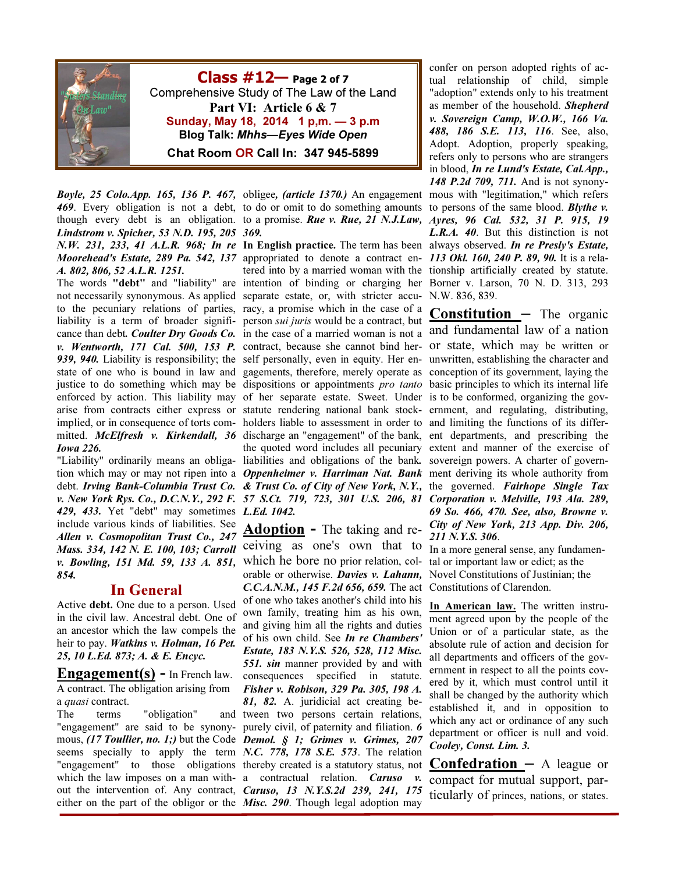

 $Class #12$ — Page 2 of 7 Comprehensive Study of The Law of the Land Part VI: Article 6 & 7 Sunday, May 18, 2014 1 p,m. — 3 p.m Blog Talk: Mhhs—Eyes Wide Open Chat Room OR Call In: 347 945-5899

Lindstrom v. Spicher, 53 N.D. 195, 205 369. N.W. 231, 233, 41 A.L.R. 968; In re In English practice. The term has been always observed. In re Presly's Estate, Moorehead's Estate, 289 Pa. 542, 137 appropriated to denote a contract en- 113 Okl. 160, 240 P. 89, 90. It is a rela-A. 802, 806, 52 A.L.R. 1251.

The words "debt" and "liability" are intention of binding or charging her Borner v. Larson, 70 N. D. 313, 293 not necessarily synonymous. As applied separate estate, or, with stricter accu-N.W. 836, 839. to the pecuniary relations of parties, racy, a promise which in the case of a liability is a term of broader significance than debt. Coulter Dry Goods Co. v. Wentworth, 171 Cal. 500, 153 P. 939, 940. Liability is responsibility; the state of one who is bound in law and justice to do something which may be dispositions or appointments *pro tanto* basic principles to which its internal life enforced by action. This liability may arise from contracts either express or statute rendering national bank stock-ernment, and regulating, distributing, implied, or in consequence of torts com-holders liable to assessment in order to and limiting the functions of its differmitted. McElfresh v. Kirkendall, 36 discharge an "engagement" of the bank, ent departments, and prescribing the Iowa 226.

"Liability" ordinarily means an obligadebt. Irving Bank-Columbia Trust Co. v. New York Rys. Co., D.C.N.Y., 292 F. 429, 433. Yet "debt" may sometimes L.Ed. 1042. include various kinds of liabilities. See Allen v. Cosmopolitan Trust Co., 247 Mass. 334, 142 N. E. 100, 103; Carroll v. Bowling, 151 Md. 59, 133 A. 851, which he bore no prior relation, col-854.

### In General

Active debt. One due to a person. Used in the civil law. Ancestral debt. One of an ancestor which the law compels the heir to pay. Watkins v. Holman, 16 Pet. 25, 10 L.Ed. 873; A. & E. Encyc.

**Engagement(s)** – In French law. A contract. The obligation arising from a *quasi* contract.

The terms "obligation" either on the part of the obligor or the *Misc.* 290. Though legal adoption may

Boyle, 25 Colo.App. 165, 136 P. 467, obligee, (article 1370.) An engagement mous with "legitimation," which refers 469. Every obligation is not a debt, to do or omit to do something amounts to persons of the same blood. Blythe v. though every debt is an obligation. to a promise. Rue v. Rue, 21 N.J.Law, Ayres, 96 Cal. 532, 31 P. 915, 19

tion which may or may not ripen into a *Oppenheimer v. Harriman Nat. Bank* ment deriving its whole authority from tered into by a married woman with the tionship artificially created by statute. person sui juris would be a contract, but in the case of a married woman is not a and fundamental law of a nation contract, because she cannot bind her-or state, which may be written or self personally, even in equity. Her en-unwritten, establishing the character and gagements, therefore, merely operate as conception of its government, laying the of her separate estate. Sweet. Under is to be conformed, organizing the govthe quoted word includes all pecuniary extent and manner of the exercise of liabilities and obligations of the bank. sovereign powers. A charter of govern-& Trust Co. of City of New York, N.Y., the governed. Fairhope Single Tax 57 S.Ct. 719, 723, 301 U.S. 206, 81 Corporation v. Melville, 193 Ala. 289,

"engagement" are said to be synony-purely civil, of paternity and filiation. 6 mous,  $(17$  Toullier, no. 1;) but the Code Demol.  $S<sub>1</sub>$ ; Grimes v. Grimes, 207 seems specially to apply the term N.C. 778, 178 S.E. 573. The relation "engagement" to those obligations thereby created is a statutory status, not which the law imposes on a man with- a contractual relation. Caruso v. out the intervention of. Any contract, *Caruso*, 13 N.Y.S.2d 239, 241, 175 Adoption - The taking and receiving as one's own that to orable or otherwise. *Davies v. Lahann*, Novel Constitutions of Justinian; the C.C.A.N.M., 145 F.2d 656, 659. The act Constitutions of Clarendon. of one who takes another's child into his own family, treating him as his own, and giving him all the rights and duties of his own child. See In re Chambers' Estate, 183 N.Y.S. 526, 528, 112 Misc. **551. sin** manner provided by and with consequences specified in statute. Fisher v. Robison, 329 Pa. 305, 198 A. 81, 82. A. juridicial act creating beand tween two persons certain relations,

confer on person adopted rights of actual relationship of child, simple "adoption" extends only to his treatment as member of the household. Shepherd v. Sovereign Camp, W.O.W., 166 Va. 488, 186 S.E. 113, 116. See, also, Adopt. Adoption, properly speaking, refers only to persons who are strangers in blood, In re Lund's Estate, Cal.App., 148 P.2d 709, 711. And is not synony-L.R.A. 40. But this distinction is not

**Constitution**  $-$  The organic 69 So. 466, 470. See, also, Browne v. City of New York, 213 App. Div. 206, 211 N.Y.S. 306.

In a more general sense, any fundamental or important law or edict; as the

In American law. The written instrument agreed upon by the people of the Union or of a particular state, as the absolute rule of action and decision for all departments and officers of the government in respect to all the points covered by it, which must control until it shall be changed by the authority which established it, and in opposition to which any act or ordinance of any such department or officer is null and void. Cooley, Const. Lim. 3.

**Confedration**  $-$  A league or compact for mutual support, particularly of princes, nations, or states.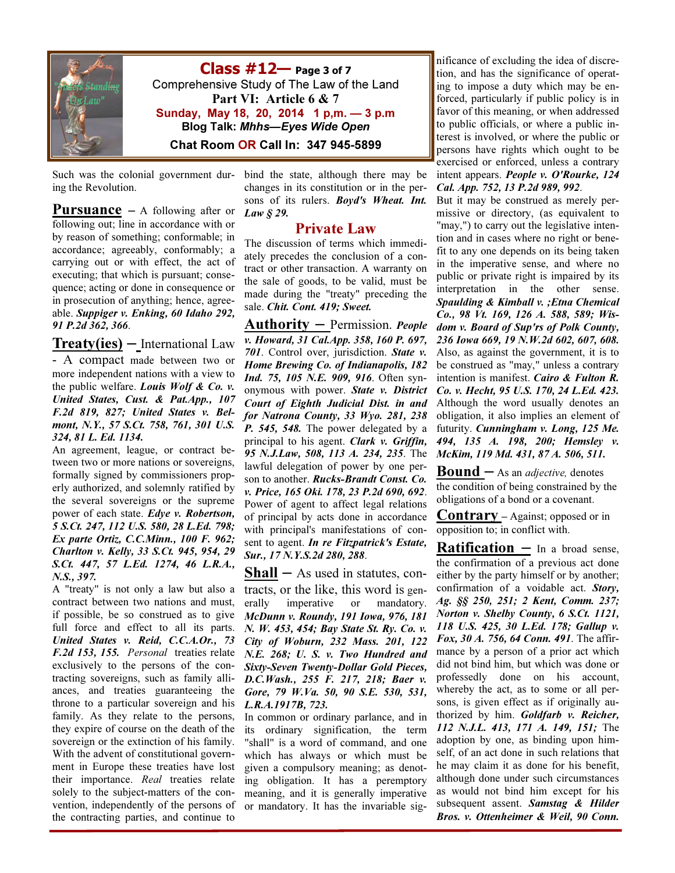

 $Class #12$ — Page 3 of 7 Comprehensive Study of The Law of the Land Part VI: Article 6 & 7 Sunday, May 18, 20, 2014 1 p,m. — 3 p.m Blog Talk: Mhhs—Eyes Wide Open Chat Room OR Call In: 347 945-5899

Such was the colonial government during the Revolution.

**Pursuance**  $-$  A following after or following out; line in accordance with or by reason of something; conformable; in accordance; agreeably, conformably; a carrying out or with effect, the act of executing; that which is pursuant; consequence; acting or done in consequence or in prosecution of anything; hence, agreeable. Suppiger v. Enking, 60 Idaho 292, 91 P.2d 362, 366.

 $Treaty(ies)$  – International Law

- A compact made between two or more independent nations with a view to the public welfare. Louis Wolf & Co. v. United States, Cust. & Pat.App., 107 F.2d 819, 827; United States v. Belmont, N.Y., 57 S.Ct. 758, 761, 301 U.S. 324, 81 L. Ed. 1134.

An agreement, league, or contract between two or more nations or sovereigns, formally signed by commissioners properly authorized, and solemnly ratified by the several sovereigns or the supreme power of each state. Edye v. Robertson, 5 S.Ct. 247, 112 U.S. 580, 28 L.Ed. 798; Ex parte Ortiz, C.C.Minn., 100 F. 962; Charlton v. Kelly, 33 S.Ct. 945, 954, 29 S.Ct. 447, 57 L.Ed. 1274, 46 L.R.A., N.S., 397.

A "treaty" is not only a law but also a contract between two nations and must, if possible, be so construed as to give full force and effect to all its parts. United States v. Reid, C.C.A.Or., 73 F.2d 153, 155. Personal treaties relate exclusively to the persons of the contracting sovereigns, such as family alliances, and treaties guaranteeing the throne to a particular sovereign and his family. As they relate to the persons, they expire of course on the death of the sovereign or the extinction of his family. With the advent of constitutional government in Europe these treaties have lost their importance. Real treaties relate solely to the subject-matters of the convention, independently of the persons of the contracting parties, and continue to

bind the state, although there may be changes in its constitution or in the persons of its rulers. Boyd's Wheat. Int. Law § 29.

#### Private Law

The discussion of terms which immediately precedes the conclusion of a contract or other transaction. A warranty on the sale of goods, to be valid, must be made during the "treaty" preceding the sale. Chit. Cont. 419; Sweet.

Authority – Permission. People v. Howard, 31 Cal.App. 358, 160 P. 697, 701. Control over, jurisdiction. State v. Home Brewing Co. of Indianapolis, 182 Ind. 75, 105 N.E. 909, 916. Often synonymous with power. State v. District Court of Eighth Judicial Dist. in and for Natrona County, 33 Wyo. 281, 238 P. 545, 548. The power delegated by a principal to his agent. Clark v. Griffin, 95 N.J.Law, 508, 113 A. 234, 235. The lawful delegation of power by one person to another. Rucks-Brandt Const. Co. v. Price, 165 Oki. 178, 23 P.2d 690, 692. Power of agent to affect legal relations of principal by acts done in accordance with principal's manifestations of consent to agent. In re Fitzpatrick's Estate, Sur., 17 N.Y.S.2d 280, 288.

 $Shall - As used in statutes, con$ tracts, or the like, this word is generally imperative or mandatory. McDunn v. Roundy, 191 Iowa, 976, 181 N. W. 453, 454; Bay State St. Ry. Co. v. City of Woburn, 232 Mass. 201, 122 N.E. 268; U. S. v. Two Hundred and Sixty-Seven Twenty-Dollar Gold Pieces, D.C.Wash., 255 F. 217, 218; Baer v. Gore, 79 W.Va. 50, 90 S.E. 530, 531, L.R.A.1917B, 723.

In common or ordinary parlance, and in its ordinary signification, the term "shall" is a word of command, and one which has always or which must be given a compulsory meaning; as denoting obligation. It has a peremptory meaning, and it is generally imperative or mandatory. It has the invariable sig-

nificance of excluding the idea of discretion, and has the significance of operating to impose a duty which may be enforced, particularly if public policy is in favor of this meaning, or when addressed to public officials, or where a public interest is involved, or where the public or persons have rights which ought to be exercised or enforced, unless a contrary intent appears. People v. O'Rourke, 124 Cal. App. 752, 13 P.2d 989, 992.

But it may be construed as merely permissive or directory, (as equivalent to "may,") to carry out the legislative intention and in cases where no right or benefit to any one depends on its being taken in the imperative sense, and where no public or private right is impaired by its interpretation in the other sense. Spaulding & Kimball v. ;Etna Chemical Co., 98 Vt. 169, 126 A. 588, 589; Wisdom v. Board of Sup'rs of Polk County, 236 Iowa 669, 19 N.W.2d 602, 607, 608. Also, as against the government, it is to be construed as "may," unless a contrary intention is manifest. Cairo & Fulton R. Co. v. Hecht, 95 U.S. 170, 24 L.Ed. 423. Although the word usually denotes an obligation, it also implies an element of futurity. Cunningham v. Long, 125 Me. 494, 135 A. 198, 200; Hemsley v. McKim, 119 Md. 431, 87 A. 506, 511.

**Bound**  $-$  As an *adjective*, denotes the condition of being constrained by the obligations of a bond or a covenant.

Contrary – Against; opposed or in opposition to; in conflict with.

**Ratification**  $-$  In a broad sense, the confirmation of a previous act done either by the party himself or by another; confirmation of a voidable act. Story, Ag. §§ 250, 251; 2 Kent, Comm. 237; Norton v. Shelby County, 6 S.Ct. 1121, 118 U.S. 425, 30 L.Ed. 178; Gallup v. Fox, 30 A. 756, 64 Conn. 491. The affirmance by a person of a prior act which did not bind him, but which was done or professedly done on his account, whereby the act, as to some or all persons, is given effect as if originally authorized by him. Goldfarb v. Reicher, 112 N.J.L. 413, 171 A. 149, 151; The adoption by one, as binding upon himself, of an act done in such relations that he may claim it as done for his benefit, although done under such circumstances as would not bind him except for his subsequent assent. Samstag & Hilder Bros. v. Ottenheimer & Weil, 90 Conn.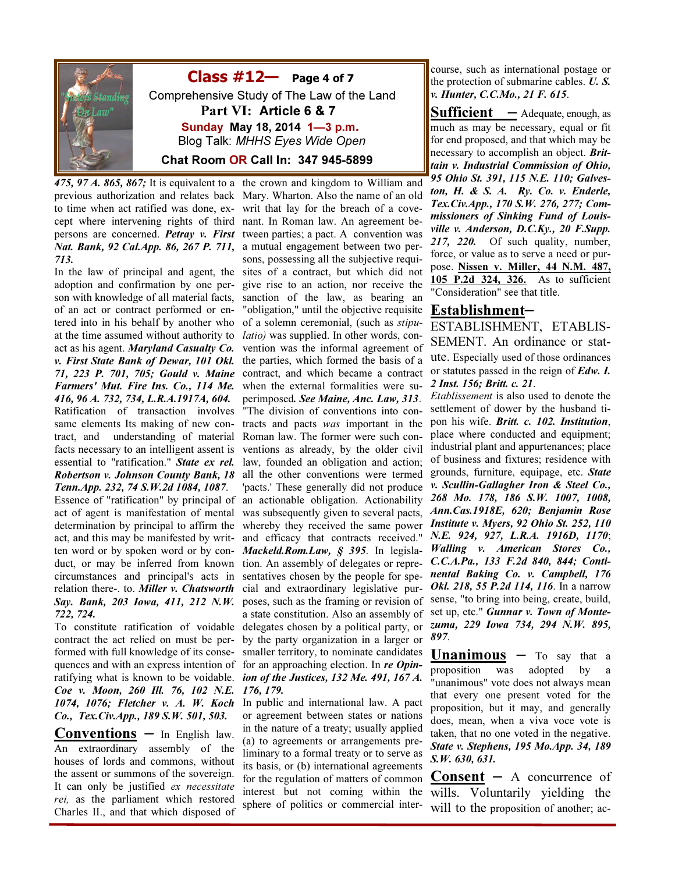

 $Class #12$ — Page 4 of 7 Comprehensive Study of The Law of the Land Part VI: Article 6 & 7 Sunday May 18, 2014 1—3 p.m. Blog Talk: MHHS Eyes Wide Open Chat Room OR Call In: 347 945-5899

475, 97 A. 865, 867; It is equivalent to a previous authorization and relates back to time when act ratified was done, except where intervening rights of third persons are concerned. Petray v. First Nat. Bank, 92 Cal.App. 86, 267 P. 711, 713.

In the law of principal and agent, the adoption and confirmation by one person with knowledge of all material facts, of an act or contract performed or entered into in his behalf by another who at the time assumed without authority to act as his agent. Maryland Casualty Co. v. First State Bank of Dewar, 101 Okl. 71, 223 P. 701, 705; Gould v. Maine Farmers' Mut. Fire Ins. Co., 114 Me. 416, 96 A. 732, 734, L.R.A.1917A, 604. Ratification of transaction involves same elements Its making of new contract, and understanding of material facts necessary to an intelligent assent is essential to "ratification." State ex rel. Robertson v. Johnson County Bank, 18 Tenn.App. 232, 74 S.W.2d 1084, 1087. Essence of "ratification" by principal of act of agent is manifestation of mental determination by principal to affirm the act, and this may be manifested by written word or by spoken word or by conduct, or may be inferred from known circumstances and principal's acts in relation there-. to. Miller v. Chatsworth Say. Bank, 203 Iowa, 411, 212 N.W.

722, 724. To constitute ratification of voidable contract the act relied on must be performed with full knowledge of its consequences and with an express intention of ratifying what is known to be voidable. Coe v. Moon, 260 Ill. 76, 102 N.E. 1074, 1076; Fletcher v. A. W. Koch Co., Tex.Civ.App., 189 S.W. 501, 503.

**Conventions**  $-$  In English law. An extraordinary assembly of the houses of lords and commons, without the assent or summons of the sovereign. It can only be justified ex necessitate rei, as the parliament which restored Charles II., and that which disposed of

the crown and kingdom to William and Mary. Wharton. Also the name of an old writ that lay for the breach of a covenant. In Roman law. An agreement between parties; a pact. A convention was a mutual engagement between two persons, possessing all the subjective requisites of a contract, but which did not give rise to an action, nor receive the sanction of the law, as bearing an "obligation," until the objective requisite of a solemn ceremonial, (such as stipulatio) was supplied. In other words, convention was the informal agreement of the parties, which formed the basis of a contract, and which became a contract when the external formalities were superimposed. See Maine, Anc. Law, 313. "The division of conventions into contracts and pacts was important in the Roman law. The former were such conventions as already, by the older civil law, founded an obligation and action; all the other conventions were termed 'pacts.' These generally did not produce an actionable obligation. Actionability was subsequently given to several pacts, whereby they received the same power and efficacy that contracts received." Mackeld.Rom.Law, § 395. In legislation. An assembly of delegates or representatives chosen by the people for special and extraordinary legislative purposes, such as the framing or revision of a state constitution. Also an assembly of delegates chosen by a political party, or by the party organization in a larger or smaller territory, to nominate candidates for an approaching election. In re Opinion of the Justices, 132 Me. 491, 167 A. 176, 179.

In public and international law. A pact or agreement between states or nations in the nature of a treaty; usually applied (a) to agreements or arrangements preliminary to a formal treaty or to serve as its basis, or (b) international agreements for the regulation of matters of common interest but not coming within the sphere of politics or commercial inter-

course, such as international postage or the protection of submarine cables.  $U$ .  $S$ . v. Hunter, C.C.Mo., 21 F. 615.

**Sufficient**  $-$  Adequate, enough, as much as may be necessary, equal or fit for end proposed, and that which may be necessary to accomplish an object. **Brit**tain v. Industrial Commission of Ohio, 95 Ohio St. 391, 115 N.E. 110; Galveston, H. & S. A. Ry. Co. v. Enderle, Tex.Civ.App., 170 S.W. 276, 277; Commissioners of Sinking Fund of Louisville v. Anderson, D.C.Ky., 20 F.Supp. 217, 220. Of such quality, number, force, or value as to serve a need or purpose. Nissen v. Miller, 44 N.M. 487, 105 P.2d 324, 326. As to sufficient "Consideration" see that title.

#### Establishment–

ESTABLISHMENT, ETABLIS-SEMENT. An ordinance or statute. Especially used of those ordinances or statutes passed in the reign of Edw. I. 2 Inst. 156; Britt. c. 21.

Etablissement is also used to denote the settlement of dower by the husband tipon his wife. Britt. c. 102. Institution, place where conducted and equipment; industrial plant and appurtenances; place of business and fixtures; residence with grounds, furniture, equipage, etc. State v. Scullin-Gallagher Iron & Steel Co., 268 Mo. 178, 186 S.W. 1007, 1008, Ann.Cas.1918E, 620; Benjamin Rose Institute v. Myers, 92 Ohio St. 252, 110 N.E. 924, 927, L.R.A. 1916D, 1170; Walling v. American Stores Co., C.C.A.Pa., 133 F.2d 840, 844; Continental Baking Co. v. Campbell, 176 Okl. 218, 55 P.2d 114, 116. In a narrow sense, "to bring into being, create, build, set up, etc." Gunnar v. Town of Montezuma, 229 Iowa 734, 294 N.W. 895, 897.

**Unanimous**  $-$  To say that a proposition was adopted by a "unanimous" vote does not always mean that every one present voted for the proposition, but it may, and generally does, mean, when a viva voce vote is taken, that no one voted in the negative. State v. Stephens, 195 Mo.App. 34, 189 S.W. 630, 631.

**Consent**  $-$  A concurrence of wills. Voluntarily yielding the will to the proposition of another; ac-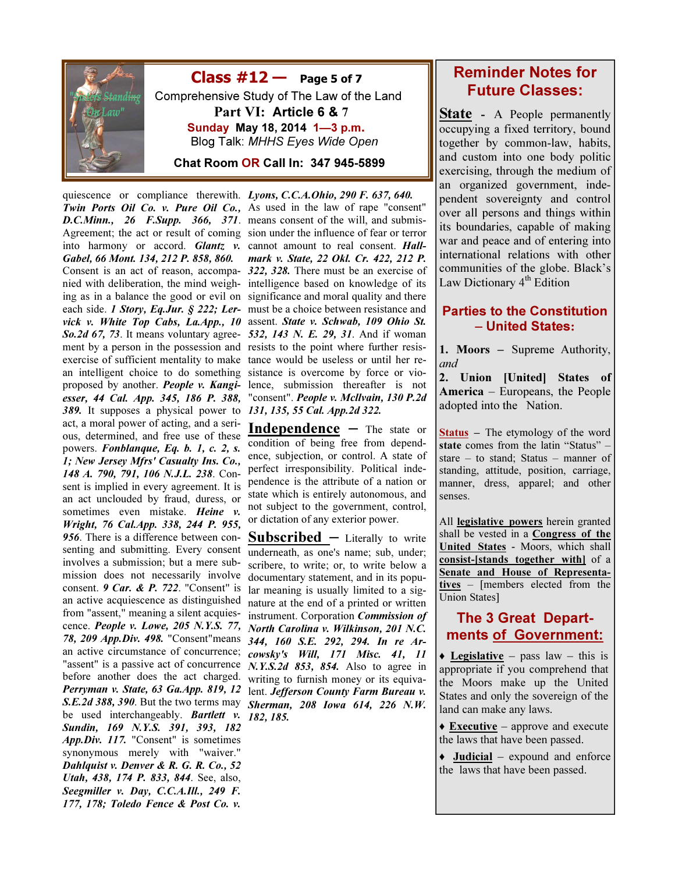

 $Class #12 - Page 5 of 7$  Comprehensive Study of The Law of the Land Part VI: Article 6 & 7 Sunday May 18, 2014 1—3 p.m. Blog Talk: MHHS Eyes Wide Open

Chat Room OR Call In: 347 945-5899

quiescence or compliance therewith. Lyons, C.C.A.Ohio, 290 F. 637, 640. 389. It supposes a physical power to 131, 135, 55 Cal. App.2d 322. act, a moral power of acting, and a serious, determined, and free use of these powers. Fonblanque, Eq. b. 1, c. 2, s. 1; New Jersey Mfrs' Casualty Ins. Co., 148 A. 790, 791, 106 N.J.L. 238. Consent is implied in every agreement. It is an act unclouded by fraud, duress, or sometimes even mistake. Heine v. Wright, 76 Cal.App. 338, 244 P. 955, 956. There is a difference between coninvolves a submission; but a mere submission does not necessarily involve consent. 9 Car. & P. 722. "Consent" is an active acquiescence as distinguished from "assent," meaning a silent acquiescence. People v. Lowe, 205 N.Y.S. 77, 78, 209 App.Div. 498. "Consent"means an active circumstance of concurrence; before another does the act charged. writing to furnish money or its equivabe used interchangeably. **Bartlett** v. Sundin, 169 N.Y.S. 391, 393, 182 App.Div. 117. "Consent" is sometimes synonymous merely with "waiver." Dahlquist v. Denver & R. G. R. Co., 52 Utah, 438, 174 P. 833, 844. See, also, Seegmiller v. Day, C.C.A.Ill., 249 F. 177, 178; Toledo Fence & Post Co. v.

Twin Ports Oil Co. v. Pure Oil Co., As used in the law of rape "consent" **D.C.Minn., 26 F.Supp. 366, 371.** means consent of the will, and submis-Agreement; the act or result of coming sion under the influence of fear or terror into harmony or accord. Glantz v. cannot amount to real consent. Hall-Gabel, 66 Mont. 134, 212 P. 858, 860. mark v. State, 22 Okl. Cr. 422, 212 P. Consent is an act of reason, accompa-322, 328. There must be an exercise of nied with deliberation, the mind weigh-intelligence based on knowledge of its ing as in a balance the good or evil on significance and moral quality and there each side. *I Story, Eq.Jur. § 222; Ler*- must be a choice between resistance and vick v. White Top Cabs, La.App., 10 assent. State v. Schwab, 109 Ohio St. So. 2d 67, 73. It means voluntary agree- 532, 143 N. E. 29, 31. And if woman ment by a person in the possession and resists to the point where further resisexercise of sufficient mentality to make tance would be useless or until her rean intelligent choice to do something sistance is overcome by force or vioproposed by another. People v. Kangi-lence, submission thereafter is not esser, 44 Cal. App. 345, 186 P. 388, "consent". People v. Mcllvain, 130 P.2d

> Independence – The state or condition of being free from dependence, subjection, or control. A state of perfect irresponsibility. Political independence is the attribute of a nation or state which is entirely autonomous, and not subject to the government, control, or dictation of any exterior power.

senting and submitting. Every consent underneath, as one's name; sub, under; "assent" is a passive act of concurrence  $N. Y.S. 2d$  853, 854. Also to agree in Perryman v. State, 63 Ga.App. 819, 12 lent. Jefferson County Farm Bureau v. S.E. 2d 388, 390. But the two terms may Sherman, 208 Iowa 614, 226 N.W. Subscribed – Literally to write scribere, to write; or, to write below a documentary statement, and in its popular meaning is usually limited to a signature at the end of a printed or written instrument. Corporation Commission of North Carolina v. Wilkinson, 201 N.C. 344, 160 S.E. 292, 294. In re Arcowsky's Will, 171 Misc. 41, 11 182, 185.

## Reminder Notes for Future Classes:

**State** - A People permanently occupying a fixed territory, bound together by common-law, habits, and custom into one body politic exercising, through the medium of an organized government, independent sovereignty and control over all persons and things within its boundaries, capable of making war and peace and of entering into international relations with other communities of the globe. Black's Law Dictionary  $4<sup>th</sup>$  Edition

### Parties to the Constitution – United States:

1. Moors – Supreme Authority, and

2. Union [United] States of America – Europeans, the People adopted into the Nation.

Status – The etymology of the word state comes from the latin "Status" – stare – to stand; Status – manner of standing, attitude, position, carriage, manner, dress, apparel; and other senses.

All **legislative** powers herein granted shall be vested in a **Congress of the** United States - Moors, which shall consist-[stands together with] of a Senate and House of Representatives – [members elected from the Union States]

### The 3 Great Departments of Government:

 $\triangle$  Legislative – pass law – this is appropriate if you comprehend that the Moors make up the United States and only the sovereign of the land can make any laws.

 $\triangle$  **Executive** – approve and execute the laws that have been passed.

• **Judicial** – expound and enforce the laws that have been passed.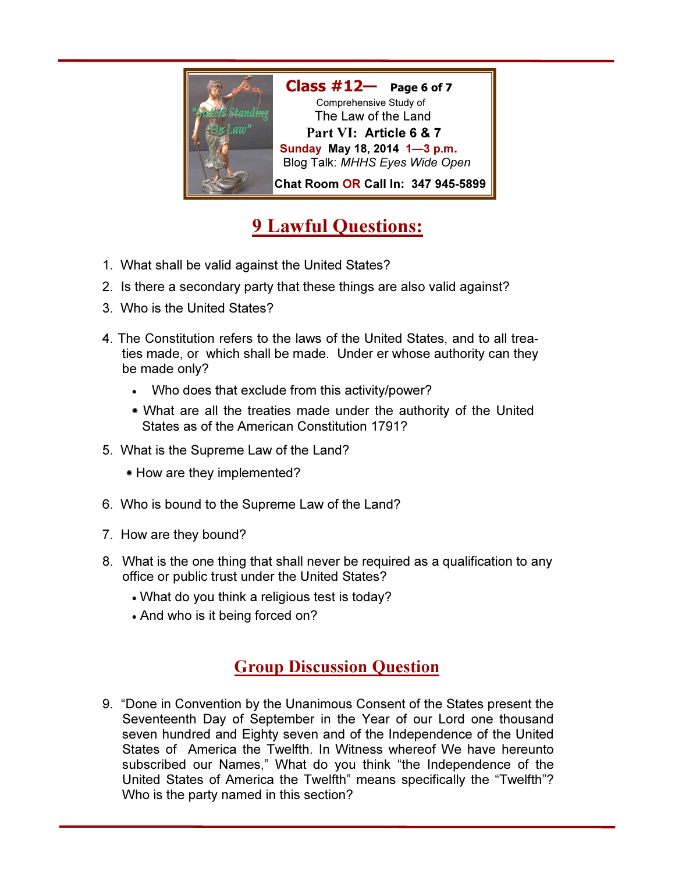

# 9 Lawful Questions:

- 1. What shall be valid against the United States?
- 2. Is there a secondary party that these things are also valid against?
- 3. Who is the United States?
- 4. The Constitution refers to the laws of the United States, and to all treaties made, or which shall be made. Under er whose authority can they be made only?
	- Who does that exclude from this activity/power?
	- What are all the treaties made under the authority of the United States as of the American Constitution 1791?
- 5. What is the Supreme Law of the Land?
	- How are they implemented?
- 6. Who is bound to the Supreme Law of the Land?
- 7. How are they bound?
- 8. What is the one thing that shall never be required as a qualification to any office or public trust under the United States?
	- What do you think a religious test is today?
	- And who is it being forced on?

## Group Discussion Question

9. "Done in Convention by the Unanimous Consent of the States present the Seventeenth Day of September in the Year of our Lord one thousand seven hundred and Eighty seven and of the Independence of the United States of America the Twelfth. In Witness whereof We have hereunto subscribed our Names," What do you think "the Independence of the United States of America the Twelfth" means specifically the "Twelfth"? Who is the party named in this section?